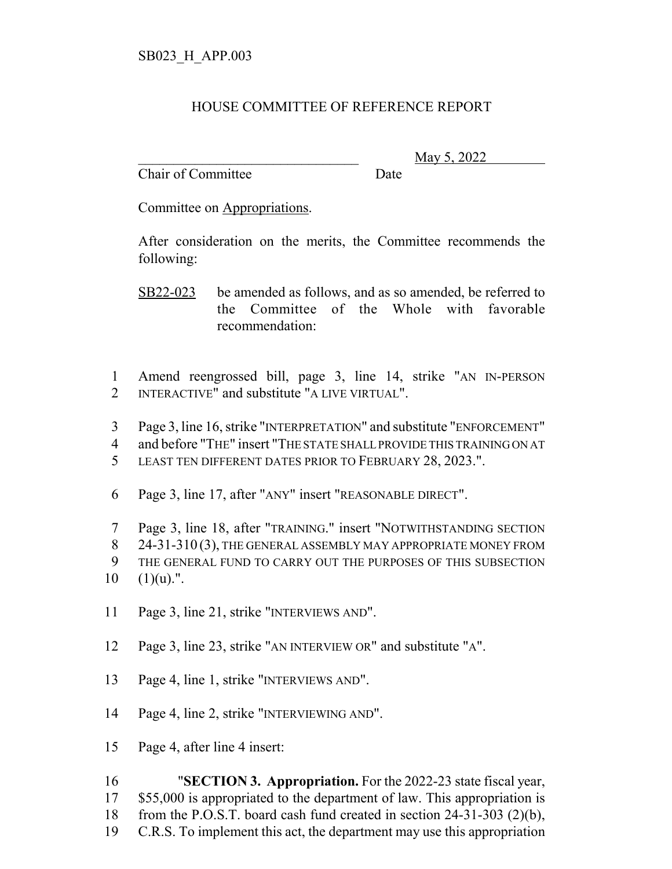## HOUSE COMMITTEE OF REFERENCE REPORT

Chair of Committee Date

\_\_\_\_\_\_\_\_\_\_\_\_\_\_\_\_\_\_\_\_\_\_\_\_\_\_\_\_\_\_\_ May 5, 2022

Committee on Appropriations.

After consideration on the merits, the Committee recommends the following:

SB22-023 be amended as follows, and as so amended, be referred to the Committee of the Whole with favorable recommendation:

1 Amend reengrossed bill, page 3, line 14, strike "AN IN-PERSON 2 INTERACTIVE" and substitute "A LIVE VIRTUAL".

3 Page 3, line 16, strike "INTERPRETATION" and substitute "ENFORCEMENT"

4 and before "THE" insert "THE STATE SHALL PROVIDE THIS TRAINING ON AT

5 LEAST TEN DIFFERENT DATES PRIOR TO FEBRUARY 28, 2023.".

6 Page 3, line 17, after "ANY" insert "REASONABLE DIRECT".

7 Page 3, line 18, after "TRAINING." insert "NOTWITHSTANDING SECTION

8 24-31-310 (3), THE GENERAL ASSEMBLY MAY APPROPRIATE MONEY FROM

9 THE GENERAL FUND TO CARRY OUT THE PURPOSES OF THIS SUBSECTION

 $10 \quad (1)(u)$ .".

11 Page 3, line 21, strike "INTERVIEWS AND".

12 Page 3, line 23, strike "AN INTERVIEW OR" and substitute "A".

13 Page 4, line 1, strike "INTERVIEWS AND".

14 Page 4, line 2, strike "INTERVIEWING AND".

15 Page 4, after line 4 insert:

 "**SECTION 3. Appropriation.** For the 2022-23 state fiscal year, 17 \$55,000 is appropriated to the department of law. This appropriation is from the P.O.S.T. board cash fund created in section 24-31-303 (2)(b), C.R.S. To implement this act, the department may use this appropriation